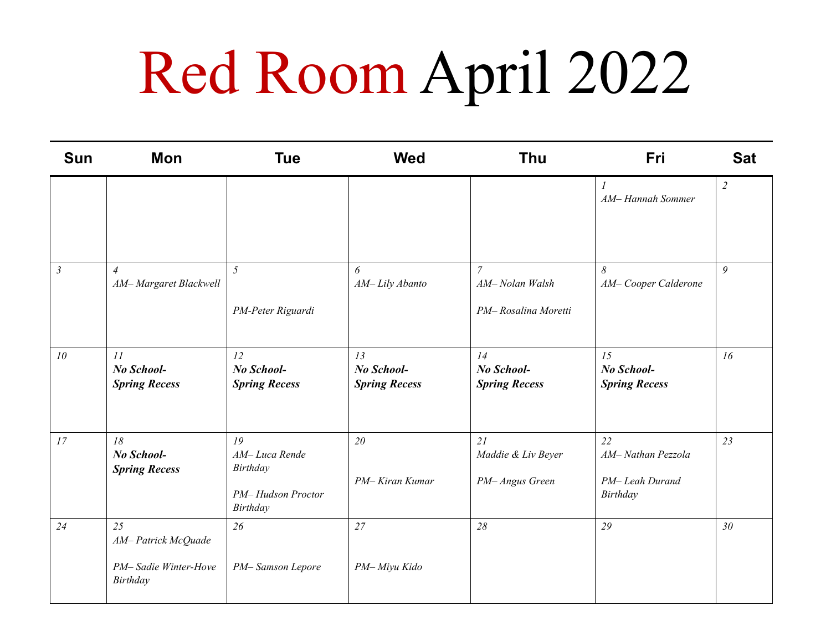## Red Room April 2022

| <b>Sun</b>     | Mon                                                          | <b>Tue</b>                                                       | <b>Wed</b>                               | <b>Thu</b>                                             | Fri                                                   | <b>Sat</b>     |
|----------------|--------------------------------------------------------------|------------------------------------------------------------------|------------------------------------------|--------------------------------------------------------|-------------------------------------------------------|----------------|
|                |                                                              |                                                                  |                                          |                                                        | $\mathcal{I}$<br>AM-Hannah Sommer                     | $\overline{2}$ |
| $\mathfrak{Z}$ | $\overline{4}$<br>AM-Margaret Blackwell                      | 5<br>PM-Peter Riguardi                                           | 6<br>AM-Lily Abanto                      | $\mathcal{I}$<br>AM-Nolan Walsh<br>PM-Rosalina Moretti | $\delta$<br>AM-Cooper Calderone                       | 9              |
| 10             | 11<br>No School-<br><b>Spring Recess</b>                     | 12<br>No School-<br><b>Spring Recess</b>                         | 13<br>No School-<br><b>Spring Recess</b> | 14<br>No School-<br><b>Spring Recess</b>               | 15<br>No School-<br><b>Spring Recess</b>              | 16             |
| 17             | 18<br>No School-<br><b>Spring Recess</b>                     | 19<br>AM-Luca Rende<br>Birthday<br>PM-Hudson Proctor<br>Birthday | 20<br>PM-Kiran Kumar                     | 21<br>Maddie & Liv Beyer<br>PM- Angus Green            | 22<br>AM-Nathan Pezzola<br>PM-Leah Durand<br>Birthday | 23             |
| 24             | 25<br>AM-Patrick McQuade<br>PM-Sadie Winter-Hove<br>Birthday | 26<br>PM-Samson Lepore                                           | 27<br>PM-Miyu Kido                       | 28                                                     | 29                                                    | 30             |